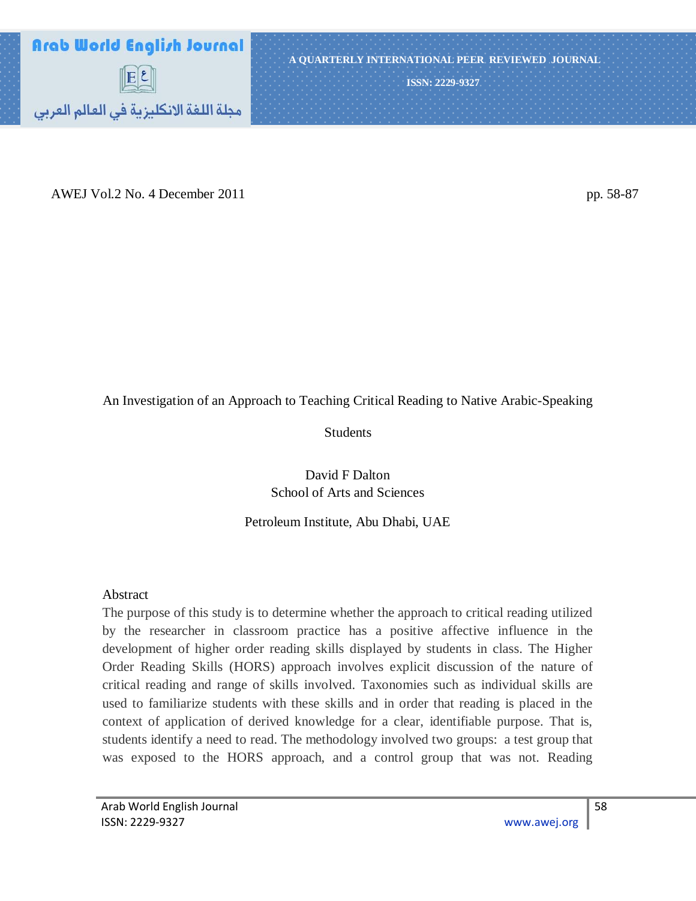

AWEJ Vol.2 No. 4 December 2011 pp. 58-87

## An Investigation of an Approach to Teaching Critical Reading to Native Arabic-Speaking

Students

David F Dalton School of Arts and Sciences

## Petroleum Institute, Abu Dhabi, UAE

## Abstract

The purpose of this study is to determine whether the approach to critical reading utilized by the researcher in classroom practice has a positive affective influence in the development of higher order reading skills displayed by students in class. The Higher Order Reading Skills (HORS) approach involves explicit discussion of the nature of critical reading and range of skills involved. Taxonomies such as individual skills are used to familiarize students with these skills and in order that reading is placed in the context of application of derived knowledge for a clear, identifiable purpose. That is, students identify a need to read. The methodology involved two groups: a test group that was exposed to the HORS approach, and a control group that was not. Reading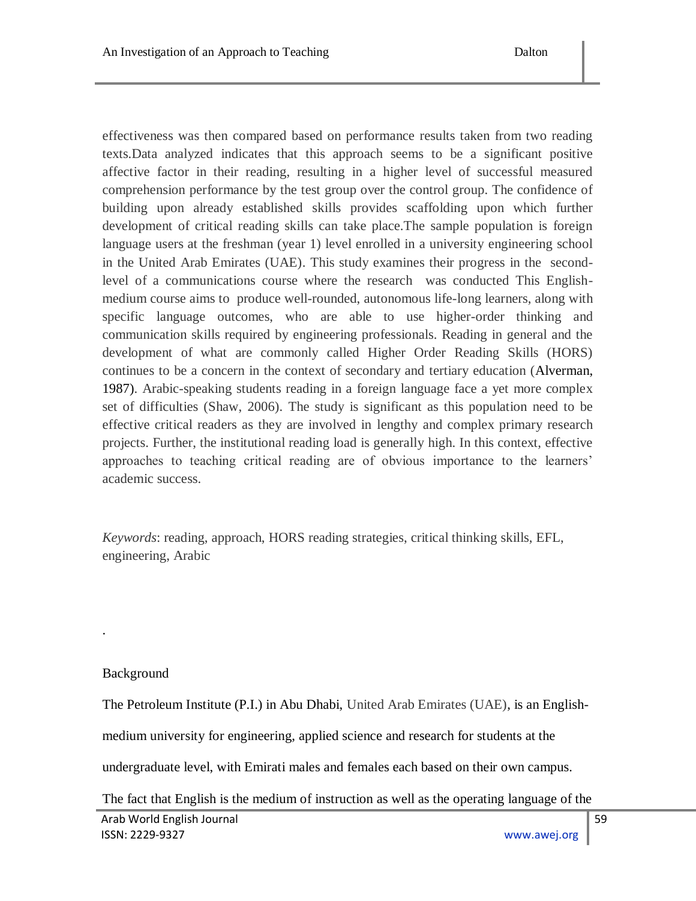effectiveness was then compared based on performance results taken from two reading texts.Data analyzed indicates that this approach seems to be a significant positive affective factor in their reading, resulting in a higher level of successful measured comprehension performance by the test group over the control group. The confidence of building upon already established skills provides scaffolding upon which further development of critical reading skills can take place.The sample population is foreign language users at the freshman (year 1) level enrolled in a university engineering school in the United Arab Emirates (UAE). This study examines their progress in the secondlevel of a communications course where the research was conducted This Englishmedium course aims to produce well-rounded, autonomous life-long learners, along with specific language outcomes, who are able to use higher-order thinking and communication skills required by engineering professionals. Reading in general and the development of what are commonly called Higher Order Reading Skills (HORS) continues to be a concern in the context of secondary and tertiary education (Alverman, 1987). Arabic-speaking students reading in a foreign language face a yet more complex set of difficulties (Shaw, 2006). The study is significant as this population need to be effective critical readers as they are involved in lengthy and complex primary research projects. Further, the institutional reading load is generally high. In this context, effective approaches to teaching critical reading are of obvious importance to the learners" academic success.

*Keywords*: reading, approach, HORS reading strategies, critical thinking skills, EFL, engineering, Arabic

# Background

.

The Petroleum Institute (P.I.) in Abu Dhabi, United Arab Emirates (UAE), is an English-

medium university for engineering, applied science and research for students at the

undergraduate level, with Emirati males and females each based on their own campus.

The fact that English is the medium of instruction as well as the operating language of the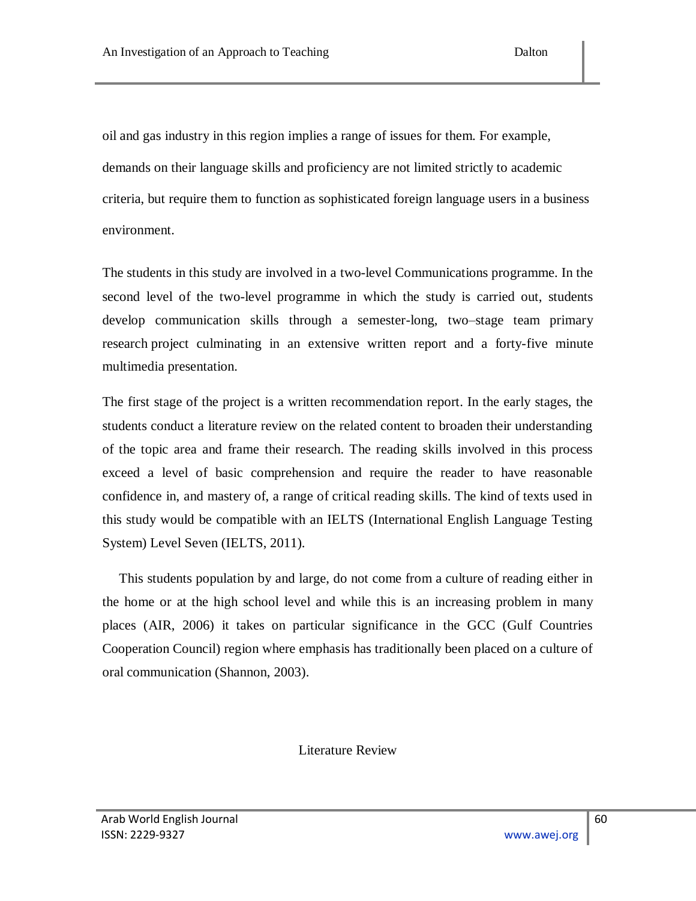oil and gas industry in this region implies a range of issues for them. For example, demands on their language skills and proficiency are not limited strictly to academic criteria, but require them to function as sophisticated foreign language users in a business environment.

The students in this study are involved in a two-level Communications programme. In the second level of the two-level programme in which the study is carried out, students develop communication skills through a semester-long, two–stage team primary research project culminating in an extensive written report and a forty-five minute multimedia presentation.

The first stage of the project is a written recommendation report. In the early stages, the students conduct a literature review on the related content to broaden their understanding of the topic area and frame their research. The reading skills involved in this process exceed a level of basic comprehension and require the reader to have reasonable confidence in, and mastery of, a range of critical reading skills. The kind of texts used in this study would be compatible with an IELTS (International English Language Testing System) Level Seven (IELTS, 2011).

 This students population by and large, do not come from a culture of reading either in the home or at the high school level and while this is an increasing problem in many places (AIR, 2006) it takes on particular significance in the GCC (Gulf Countries Cooperation Council) region where emphasis has traditionally been placed on a culture of oral communication (Shannon, 2003).

Literature Review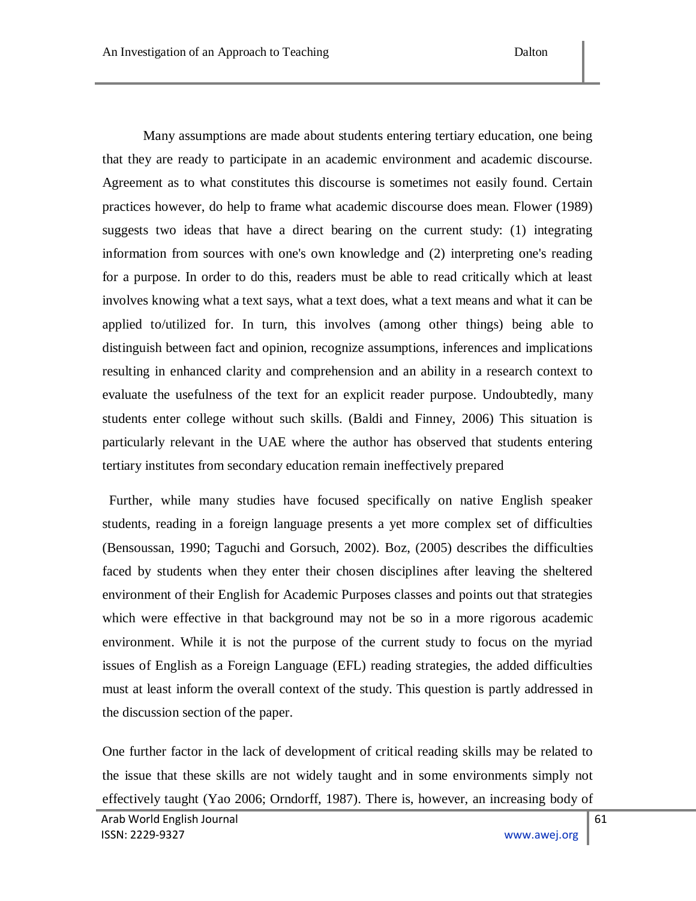Many assumptions are made about students entering tertiary education, one being that they are ready to participate in an academic environment and academic discourse. Agreement as to what constitutes this discourse is sometimes not easily found. Certain practices however, do help to frame what academic discourse does mean. Flower (1989) suggests two ideas that have a direct bearing on the current study: (1) integrating information from sources with one's own knowledge and (2) interpreting one's reading for a purpose. In order to do this, readers must be able to read critically which at least involves knowing what a text says, what a text does, what a text means and what it can be applied to/utilized for. In turn, this involves (among other things) being able to distinguish between fact and opinion, recognize assumptions, inferences and implications resulting in enhanced clarity and comprehension and an ability in a research context to evaluate the usefulness of the text for an explicit reader purpose. Undoubtedly, many students enter college without such skills. (Baldi and Finney, 2006) This situation is particularly relevant in the UAE where the author has observed that students entering tertiary institutes from secondary education remain ineffectively prepared

 Further, while many studies have focused specifically on native English speaker students, reading in a foreign language presents a yet more complex set of difficulties (Bensoussan, 1990; Taguchi and Gorsuch, 2002). Boz, (2005) describes the difficulties faced by students when they enter their chosen disciplines after leaving the sheltered environment of their English for Academic Purposes classes and points out that strategies which were effective in that background may not be so in a more rigorous academic environment. While it is not the purpose of the current study to focus on the myriad issues of English as a Foreign Language (EFL) reading strategies, the added difficulties must at least inform the overall context of the study. This question is partly addressed in the discussion section of the paper.

One further factor in the lack of development of critical reading skills may be related to the issue that these skills are not widely taught and in some environments simply not effectively taught (Yao 2006; Orndorff, 1987). There is, however, an increasing body of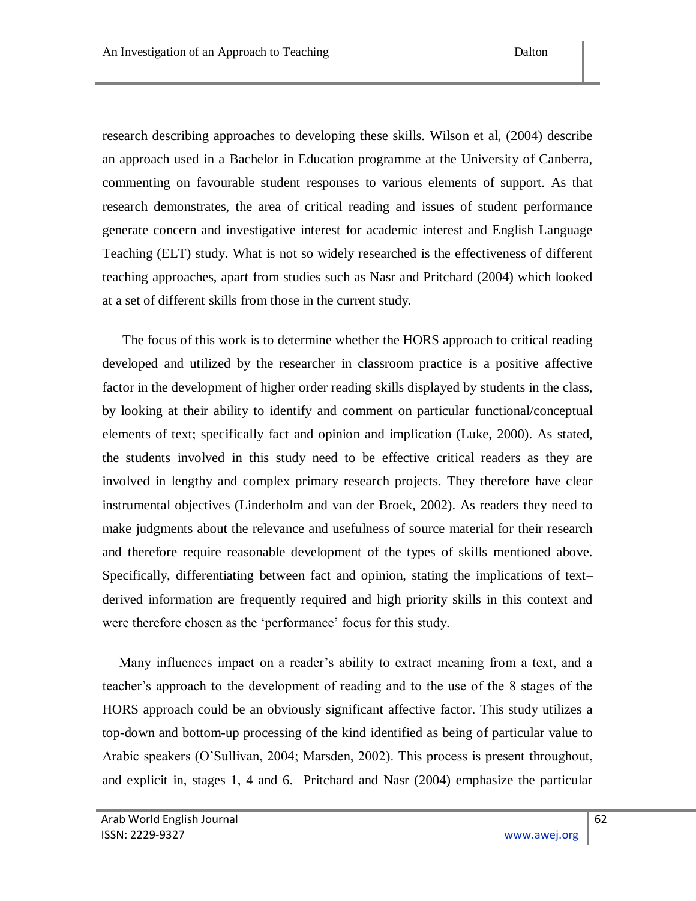research describing approaches to developing these skills. Wilson et al, (2004) describe an approach used in a Bachelor in Education programme at the University of Canberra, commenting on favourable student responses to various elements of support. As that research demonstrates, the area of critical reading and issues of student performance generate concern and investigative interest for academic interest and English Language Teaching (ELT) study. What is not so widely researched is the effectiveness of different teaching approaches, apart from studies such as Nasr and Pritchard (2004) which looked at a set of different skills from those in the current study.

 The focus of this work is to determine whether the HORS approach to critical reading developed and utilized by the researcher in classroom practice is a positive affective factor in the development of higher order reading skills displayed by students in the class, by looking at their ability to identify and comment on particular functional/conceptual elements of text; specifically fact and opinion and implication (Luke, 2000). As stated, the students involved in this study need to be effective critical readers as they are involved in lengthy and complex primary research projects. They therefore have clear instrumental objectives (Linderholm and van der Broek, 2002). As readers they need to make judgments about the relevance and usefulness of source material for their research and therefore require reasonable development of the types of skills mentioned above. Specifically, differentiating between fact and opinion, stating the implications of text– derived information are frequently required and high priority skills in this context and were therefore chosen as the 'performance' focus for this study.

Many influences impact on a reader's ability to extract meaning from a text, and a teacher"s approach to the development of reading and to the use of the 8 stages of the HORS approach could be an obviously significant affective factor. This study utilizes a top-down and bottom-up processing of the kind identified as being of particular value to Arabic speakers (O"Sullivan, 2004; Marsden, 2002). This process is present throughout, and explicit in, stages 1, 4 and 6. Pritchard and Nasr (2004) emphasize the particular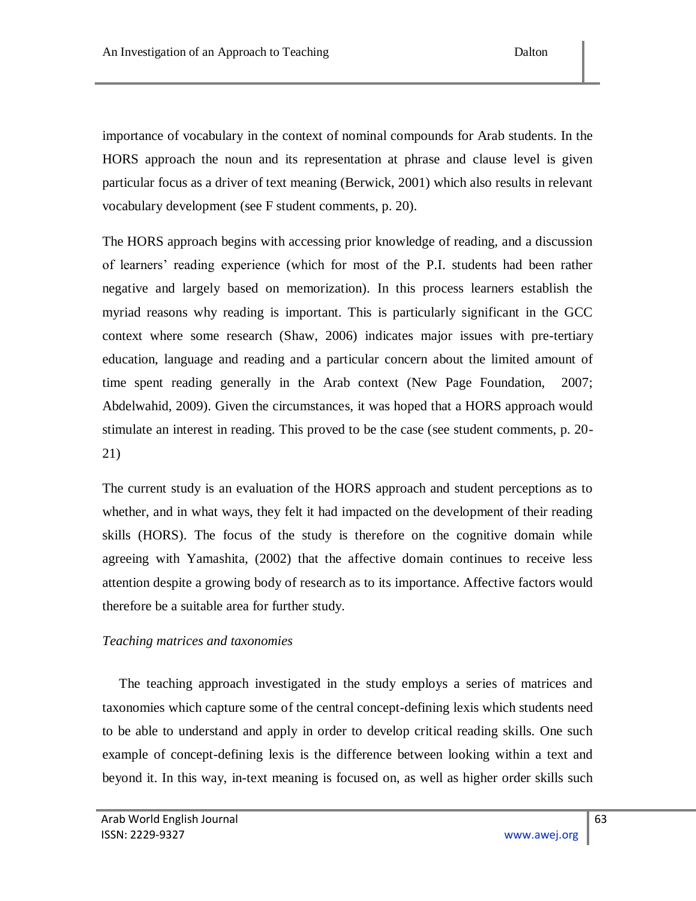importance of vocabulary in the context of nominal compounds for Arab students. In the HORS approach the noun and its representation at phrase and clause level is given particular focus as a driver of text meaning (Berwick, 2001) which also results in relevant vocabulary development (see F student comments, p. 20).

The HORS approach begins with accessing prior knowledge of reading, and a discussion of learners" reading experience (which for most of the P.I. students had been rather negative and largely based on memorization). In this process learners establish the myriad reasons why reading is important. This is particularly significant in the GCC context where some research (Shaw, 2006) indicates major issues with pre-tertiary education, language and reading and a particular concern about the limited amount of time spent reading generally in the Arab context (New Page Foundation, 2007; Abdelwahid, 2009). Given the circumstances, it was hoped that a HORS approach would stimulate an interest in reading. This proved to be the case (see student comments, p. 20- 21)

The current study is an evaluation of the HORS approach and student perceptions as to whether, and in what ways, they felt it had impacted on the development of their reading skills (HORS). The focus of the study is therefore on the cognitive domain while agreeing with Yamashita, (2002) that the affective domain continues to receive less attention despite a growing body of research as to its importance. Affective factors would therefore be a suitable area for further study.

## *Teaching matrices and taxonomies*

 The teaching approach investigated in the study employs a series of matrices and taxonomies which capture some of the central concept-defining lexis which students need to be able to understand and apply in order to develop critical reading skills. One such example of concept-defining lexis is the difference between looking within a text and beyond it. In this way, in-text meaning is focused on, as well as higher order skills such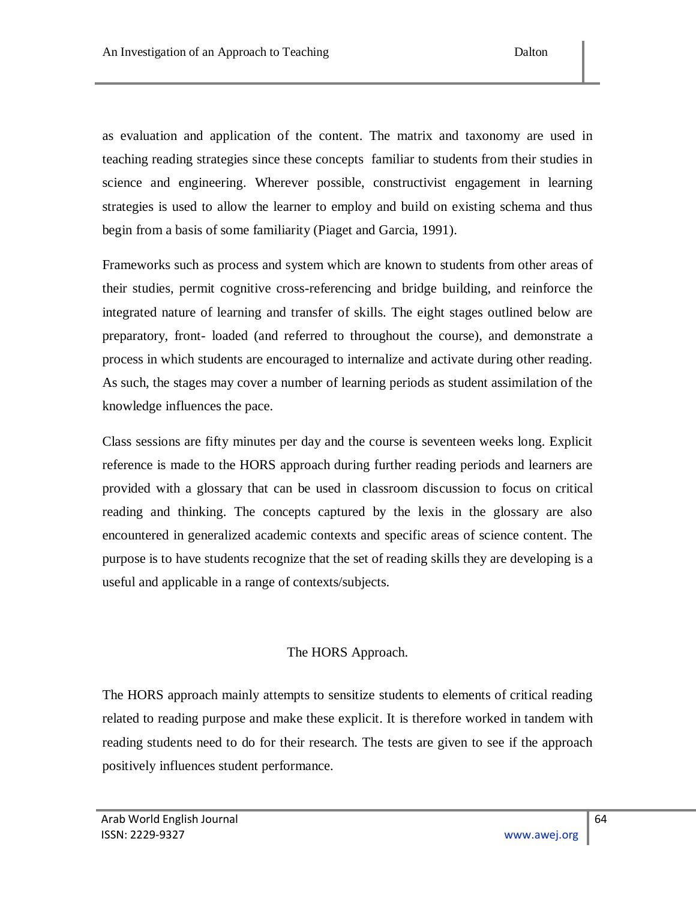as evaluation and application of the content. The matrix and taxonomy are used in teaching reading strategies since these concepts familiar to students from their studies in science and engineering. Wherever possible, constructivist engagement in learning strategies is used to allow the learner to employ and build on existing schema and thus begin from a basis of some familiarity (Piaget and Garcia, 1991).

Frameworks such as process and system which are known to students from other areas of their studies, permit cognitive cross-referencing and bridge building, and reinforce the integrated nature of learning and transfer of skills. The eight stages outlined below are preparatory, front- loaded (and referred to throughout the course), and demonstrate a process in which students are encouraged to internalize and activate during other reading. As such, the stages may cover a number of learning periods as student assimilation of the knowledge influences the pace.

Class sessions are fifty minutes per day and the course is seventeen weeks long. Explicit reference is made to the HORS approach during further reading periods and learners are provided with a glossary that can be used in classroom discussion to focus on critical reading and thinking. The concepts captured by the lexis in the glossary are also encountered in generalized academic contexts and specific areas of science content. The purpose is to have students recognize that the set of reading skills they are developing is a useful and applicable in a range of contexts/subjects.

## The HORS Approach.

The HORS approach mainly attempts to sensitize students to elements of critical reading related to reading purpose and make these explicit. It is therefore worked in tandem with reading students need to do for their research. The tests are given to see if the approach positively influences student performance.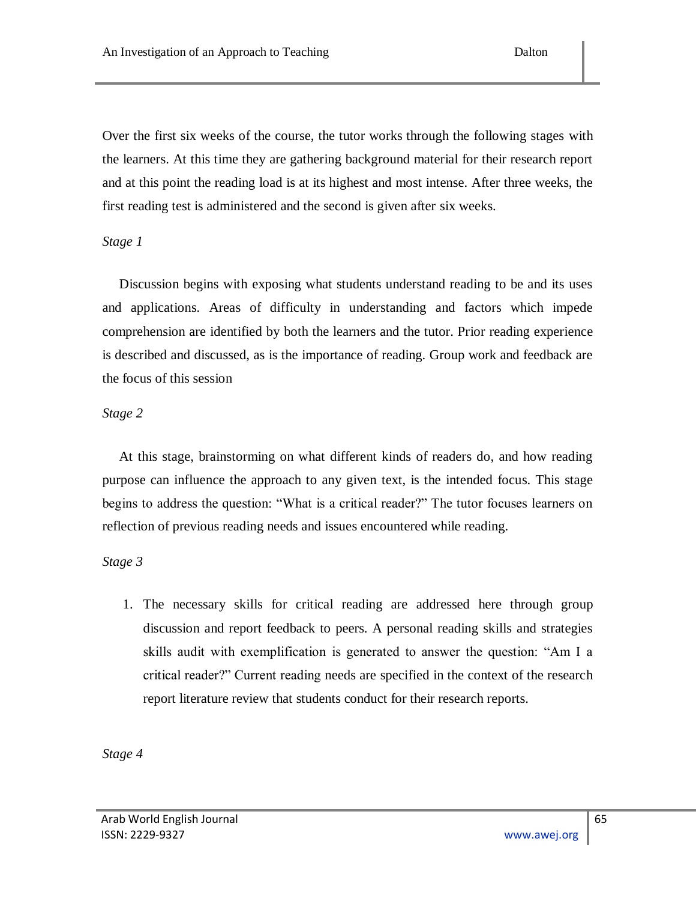Over the first six weeks of the course, the tutor works through the following stages with the learners. At this time they are gathering background material for their research report and at this point the reading load is at its highest and most intense. After three weeks, the first reading test is administered and the second is given after six weeks.

## *Stage 1*

 Discussion begins with exposing what students understand reading to be and its uses and applications. Areas of difficulty in understanding and factors which impede comprehension are identified by both the learners and the tutor. Prior reading experience is described and discussed, as is the importance of reading. Group work and feedback are the focus of this session

## *Stage 2*

 At this stage, brainstorming on what different kinds of readers do, and how reading purpose can influence the approach to any given text, is the intended focus. This stage begins to address the question: "What is a critical reader?" The tutor focuses learners on reflection of previous reading needs and issues encountered while reading.

## *Stage 3*

1. The necessary skills for critical reading are addressed here through group discussion and report feedback to peers. A personal reading skills and strategies skills audit with exemplification is generated to answer the question: "Am I a critical reader?" Current reading needs are specified in the context of the research report literature review that students conduct for their research reports.

*Stage 4*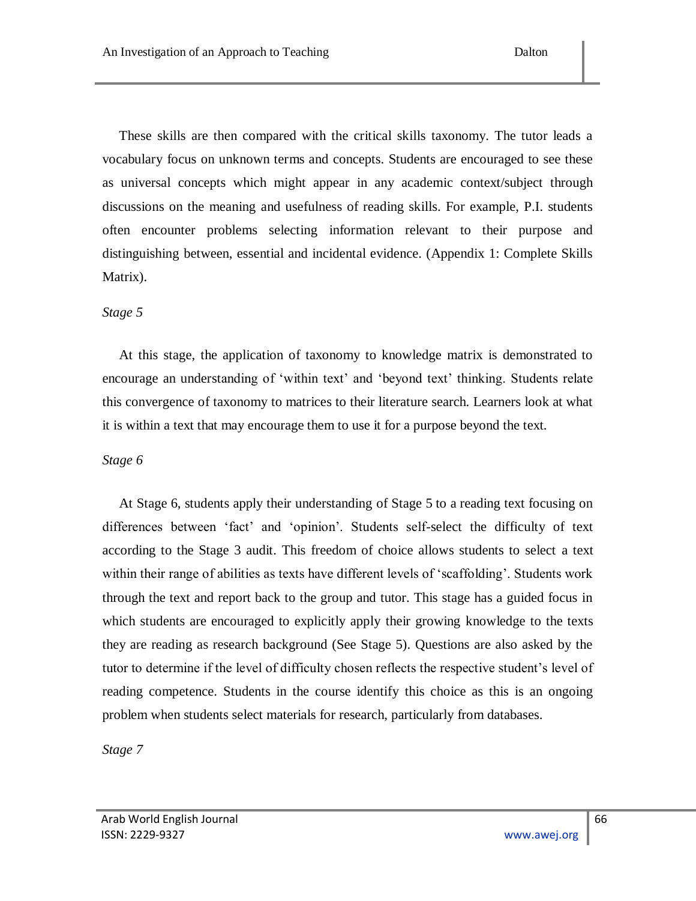These skills are then compared with the critical skills taxonomy. The tutor leads a vocabulary focus on unknown terms and concepts. Students are encouraged to see these as universal concepts which might appear in any academic context/subject through discussions on the meaning and usefulness of reading skills. For example, P.I. students often encounter problems selecting information relevant to their purpose and distinguishing between, essential and incidental evidence. (Appendix 1: Complete Skills Matrix).

#### *Stage 5*

 At this stage, the application of taxonomy to knowledge matrix is demonstrated to encourage an understanding of 'within text' and 'beyond text' thinking. Students relate this convergence of taxonomy to matrices to their literature search. Learners look at what it is within a text that may encourage them to use it for a purpose beyond the text.

#### *Stage 6*

 At Stage 6, students apply their understanding of Stage 5 to a reading text focusing on differences between "fact" and "opinion". Students self-select the difficulty of text according to the Stage 3 audit. This freedom of choice allows students to select a text within their range of abilities as texts have different levels of "scaffolding". Students work through the text and report back to the group and tutor. This stage has a guided focus in which students are encouraged to explicitly apply their growing knowledge to the texts they are reading as research background (See Stage 5). Questions are also asked by the tutor to determine if the level of difficulty chosen reflects the respective student"s level of reading competence. Students in the course identify this choice as this is an ongoing problem when students select materials for research, particularly from databases.

*Stage 7*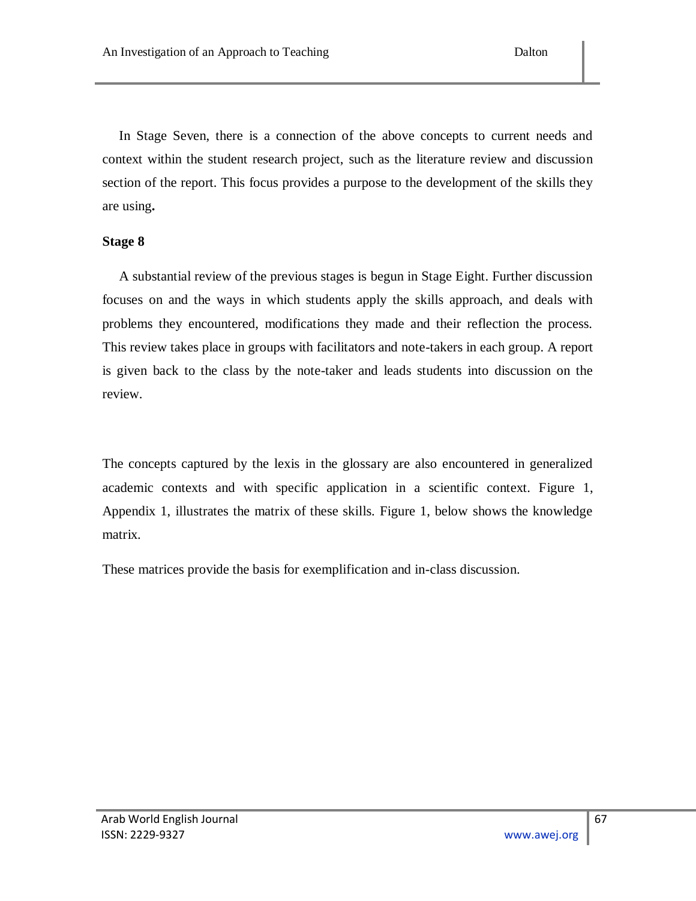In Stage Seven, there is a connection of the above concepts to current needs and context within the student research project, such as the literature review and discussion section of the report. This focus provides a purpose to the development of the skills they are using**.**

## **Stage 8**

 A substantial review of the previous stages is begun in Stage Eight. Further discussion focuses on and the ways in which students apply the skills approach, and deals with problems they encountered, modifications they made and their reflection the process. This review takes place in groups with facilitators and note-takers in each group. A report is given back to the class by the note-taker and leads students into discussion on the review.

The concepts captured by the lexis in the glossary are also encountered in generalized academic contexts and with specific application in a scientific context. Figure 1, Appendix 1, illustrates the matrix of these skills. Figure 1, below shows the knowledge matrix.

These matrices provide the basis for exemplification and in-class discussion.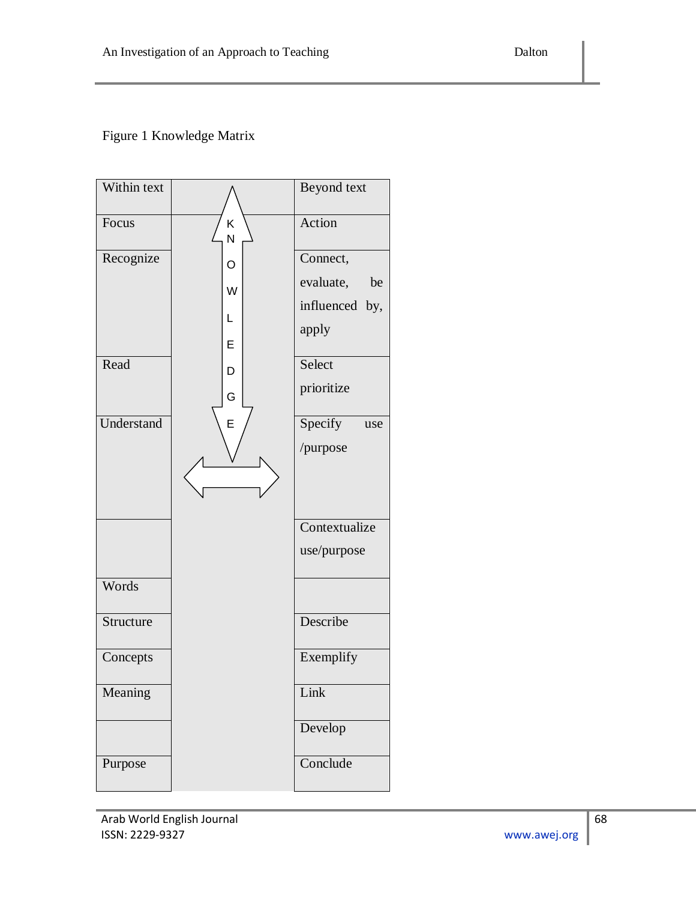Figure 1 Knowledge Matrix

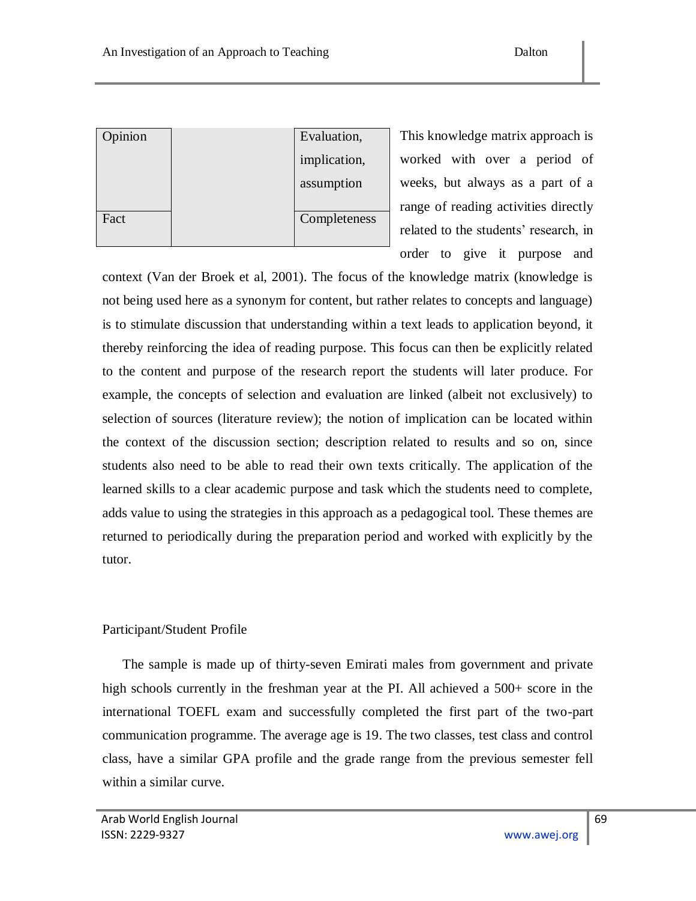| Opinion | Evaluation,  |  |
|---------|--------------|--|
|         | implication, |  |
|         | assumption   |  |
|         |              |  |
| Fact    | Completeness |  |
|         |              |  |

This knowledge matrix approach is worked with over a period of weeks, but always as a part of a range of reading activities directly related to the students' research, in order to give it purpose and

context (Van der Broek et al, 2001). The focus of the knowledge matrix (knowledge is not being used here as a synonym for content, but rather relates to concepts and language) is to stimulate discussion that understanding within a text leads to application beyond, it thereby reinforcing the idea of reading purpose. This focus can then be explicitly related to the content and purpose of the research report the students will later produce. For example, the concepts of selection and evaluation are linked (albeit not exclusively) to selection of sources (literature review); the notion of implication can be located within the context of the discussion section; description related to results and so on, since students also need to be able to read their own texts critically. The application of the learned skills to a clear academic purpose and task which the students need to complete, adds value to using the strategies in this approach as a pedagogical tool. These themes are returned to periodically during the preparation period and worked with explicitly by the tutor.

# Participant/Student Profile

 The sample is made up of thirty-seven Emirati males from government and private high schools currently in the freshman year at the PI. All achieved a 500+ score in the international TOEFL exam and successfully completed the first part of the two-part communication programme. The average age is 19. The two classes, test class and control class, have a similar GPA profile and the grade range from the previous semester fell within a similar curve.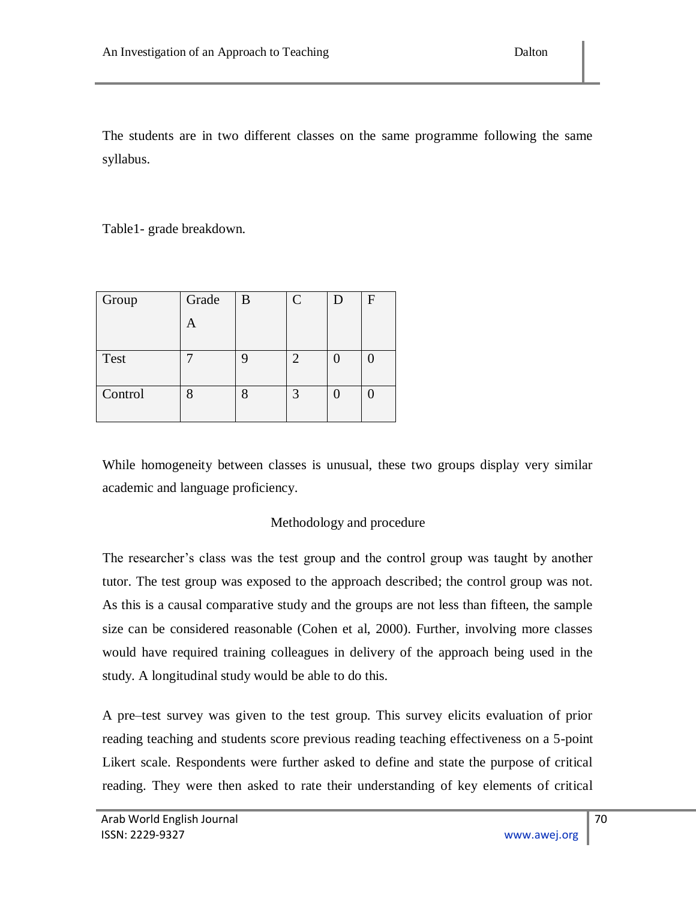The students are in two different classes on the same programme following the same syllabus.

Table1- grade breakdown.

| Group   | Grade | B | $\overline{C}$ | D | F |
|---------|-------|---|----------------|---|---|
|         | A     |   |                |   |   |
|         |       |   |                |   |   |
| Test    |       |   | ◠              |   |   |
|         |       |   |                |   |   |
| Control | ດ     |   | ₽              |   |   |
|         |       |   |                |   |   |

While homogeneity between classes is unusual, these two groups display very similar academic and language proficiency.

## Methodology and procedure

The researcher"s class was the test group and the control group was taught by another tutor. The test group was exposed to the approach described; the control group was not. As this is a causal comparative study and the groups are not less than fifteen, the sample size can be considered reasonable (Cohen et al, 2000). Further, involving more classes would have required training colleagues in delivery of the approach being used in the study. A longitudinal study would be able to do this.

A pre–test survey was given to the test group. This survey elicits evaluation of prior reading teaching and students score previous reading teaching effectiveness on a 5-point Likert scale. Respondents were further asked to define and state the purpose of critical reading. They were then asked to rate their understanding of key elements of critical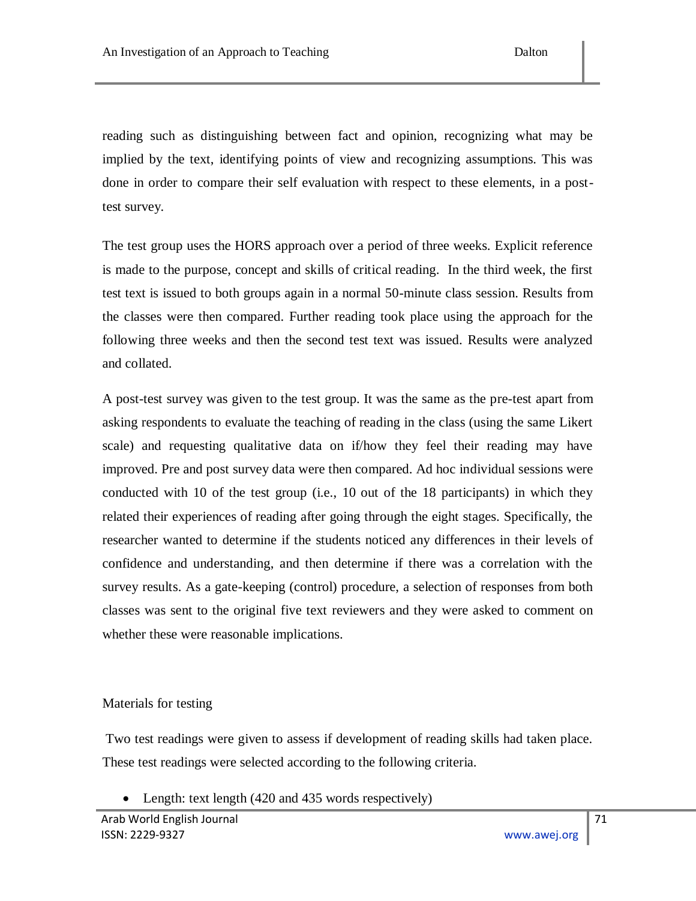reading such as distinguishing between fact and opinion, recognizing what may be implied by the text, identifying points of view and recognizing assumptions. This was done in order to compare their self evaluation with respect to these elements, in a posttest survey.

The test group uses the HORS approach over a period of three weeks. Explicit reference is made to the purpose, concept and skills of critical reading. In the third week, the first test text is issued to both groups again in a normal 50-minute class session. Results from the classes were then compared. Further reading took place using the approach for the following three weeks and then the second test text was issued. Results were analyzed and collated.

A post-test survey was given to the test group. It was the same as the pre-test apart from asking respondents to evaluate the teaching of reading in the class (using the same Likert scale) and requesting qualitative data on if/how they feel their reading may have improved. Pre and post survey data were then compared. Ad hoc individual sessions were conducted with 10 of the test group (i.e., 10 out of the 18 participants) in which they related their experiences of reading after going through the eight stages. Specifically, the researcher wanted to determine if the students noticed any differences in their levels of confidence and understanding, and then determine if there was a correlation with the survey results. As a gate-keeping (control) procedure, a selection of responses from both classes was sent to the original five text reviewers and they were asked to comment on whether these were reasonable implications.

## Materials for testing

Two test readings were given to assess if development of reading skills had taken place. These test readings were selected according to the following criteria.

• Length: text length (420 and 435 words respectively)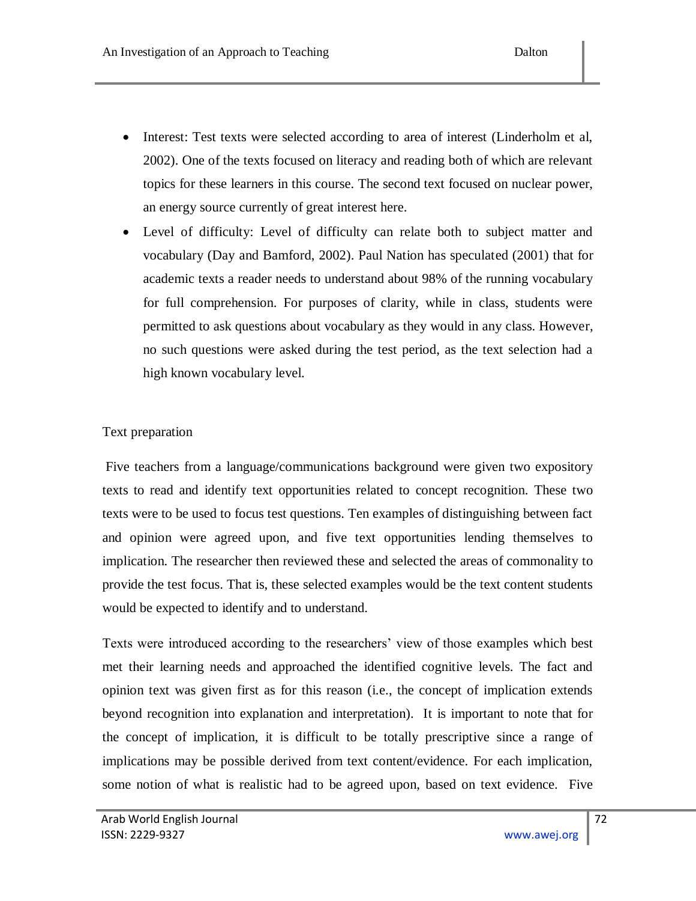- Interest: Test texts were selected according to area of interest (Linderholm et al, 2002). One of the texts focused on literacy and reading both of which are relevant topics for these learners in this course. The second text focused on nuclear power, an energy source currently of great interest here.
- Level of difficulty: Level of difficulty can relate both to subject matter and vocabulary (Day and Bamford, 2002). Paul Nation has speculated (2001) that for academic texts a reader needs to understand about 98% of the running vocabulary for full comprehension. For purposes of clarity, while in class, students were permitted to ask questions about vocabulary as they would in any class. However, no such questions were asked during the test period, as the text selection had a high known vocabulary level.

# Text preparation

Five teachers from a language/communications background were given two expository texts to read and identify text opportunities related to concept recognition. These two texts were to be used to focus test questions. Ten examples of distinguishing between fact and opinion were agreed upon, and five text opportunities lending themselves to implication. The researcher then reviewed these and selected the areas of commonality to provide the test focus. That is, these selected examples would be the text content students would be expected to identify and to understand.

Texts were introduced according to the researchers" view of those examples which best met their learning needs and approached the identified cognitive levels. The fact and opinion text was given first as for this reason (i.e., the concept of implication extends beyond recognition into explanation and interpretation). It is important to note that for the concept of implication, it is difficult to be totally prescriptive since a range of implications may be possible derived from text content/evidence. For each implication, some notion of what is realistic had to be agreed upon, based on text evidence. Five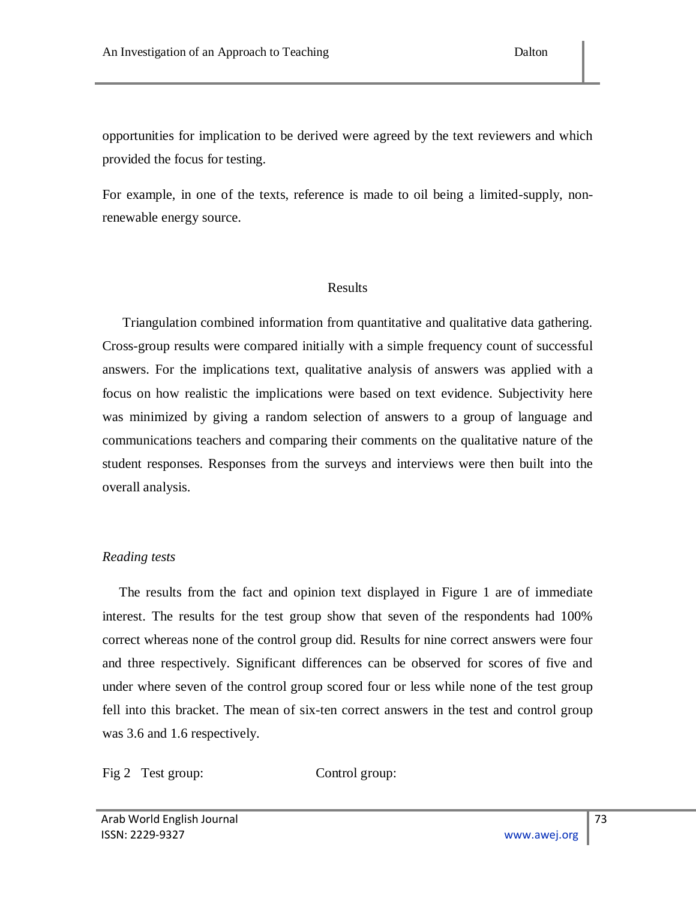opportunities for implication to be derived were agreed by the text reviewers and which provided the focus for testing.

For example, in one of the texts, reference is made to oil being a limited-supply, nonrenewable energy source.

#### Results

 Triangulation combined information from quantitative and qualitative data gathering. Cross-group results were compared initially with a simple frequency count of successful answers. For the implications text, qualitative analysis of answers was applied with a focus on how realistic the implications were based on text evidence. Subjectivity here was minimized by giving a random selection of answers to a group of language and communications teachers and comparing their comments on the qualitative nature of the student responses. Responses from the surveys and interviews were then built into the overall analysis.

## *Reading tests*

 The results from the fact and opinion text displayed in Figure 1 are of immediate interest. The results for the test group show that seven of the respondents had 100% correct whereas none of the control group did. Results for nine correct answers were four and three respectively. Significant differences can be observed for scores of five and under where seven of the control group scored four or less while none of the test group fell into this bracket. The mean of six-ten correct answers in the test and control group was 3.6 and 1.6 respectively.

Fig 2 Test group: Control group: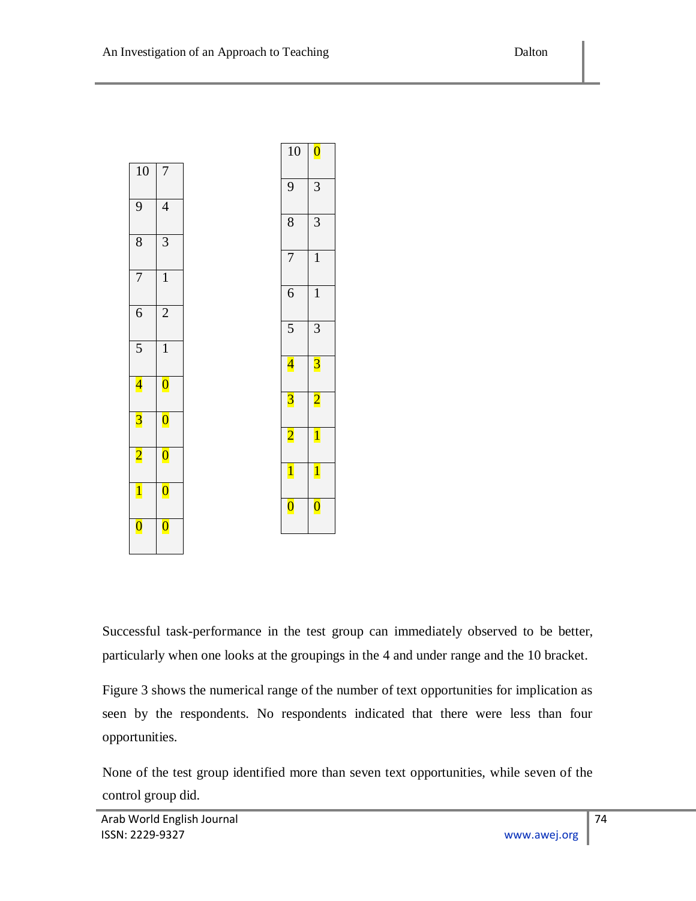

Successful task-performance in the test group can immediately observed to be better, particularly when one looks at the groupings in the 4 and under range and the 10 bracket.

Figure 3 shows the numerical range of the number of text opportunities for implication as seen by the respondents. No respondents indicated that there were less than four opportunities.

None of the test group identified more than seven text opportunities, while seven of the control group did.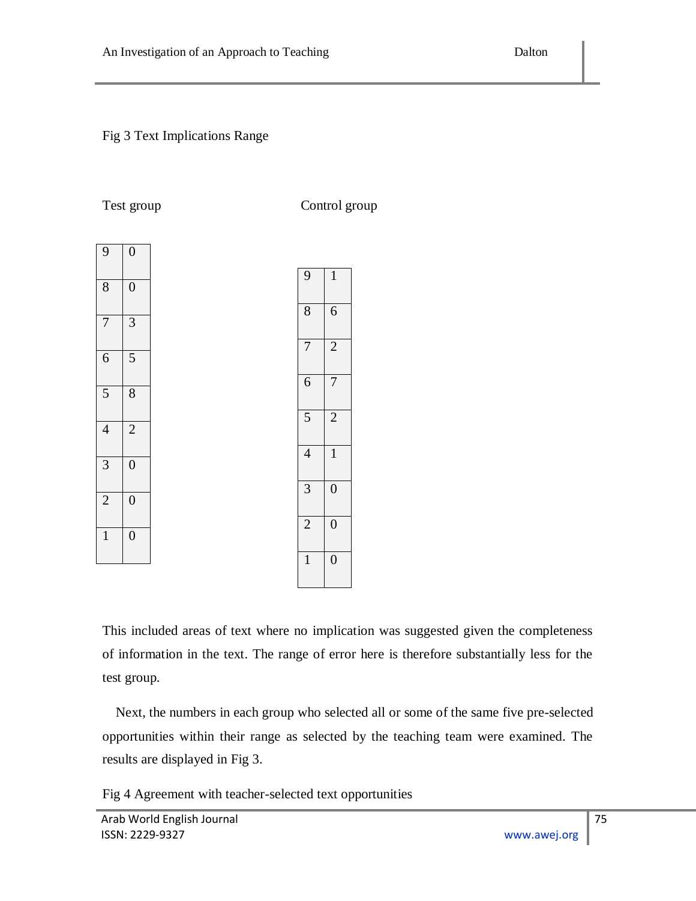## Fig 3 Text Implications Range

Test group Control group

| 9<br>8         | $\overline{0}$<br>$\overline{0}$ |  |
|----------------|----------------------------------|--|
| 7              | $\overline{3}$                   |  |
| 6              | 5                                |  |
| 5              | $\overline{8}$                   |  |
| $\overline{4}$ | $\overline{2}$                   |  |
| $\overline{3}$ | $\overline{0}$                   |  |
| $\overline{2}$ | $\overline{0}$                   |  |
| $\mathbf{1}$   | $\overline{0}$                   |  |

| 9              | $\mathbf{1}$   |
|----------------|----------------|
| 8              | 6              |
| 7              | $\overline{2}$ |
| 6              | 7              |
| 5              | $\overline{c}$ |
| $\overline{4}$ | $\overline{1}$ |
| $\overline{3}$ | $\overline{0}$ |
| $\overline{2}$ | $\overline{0}$ |
| 1              | $\overline{0}$ |

This included areas of text where no implication was suggested given the completeness of information in the text. The range of error here is therefore substantially less for the test group.

 Next, the numbers in each group who selected all or some of the same five pre-selected opportunities within their range as selected by the teaching team were examined. The results are displayed in Fig 3.

Fig 4 Agreement with teacher-selected text opportunities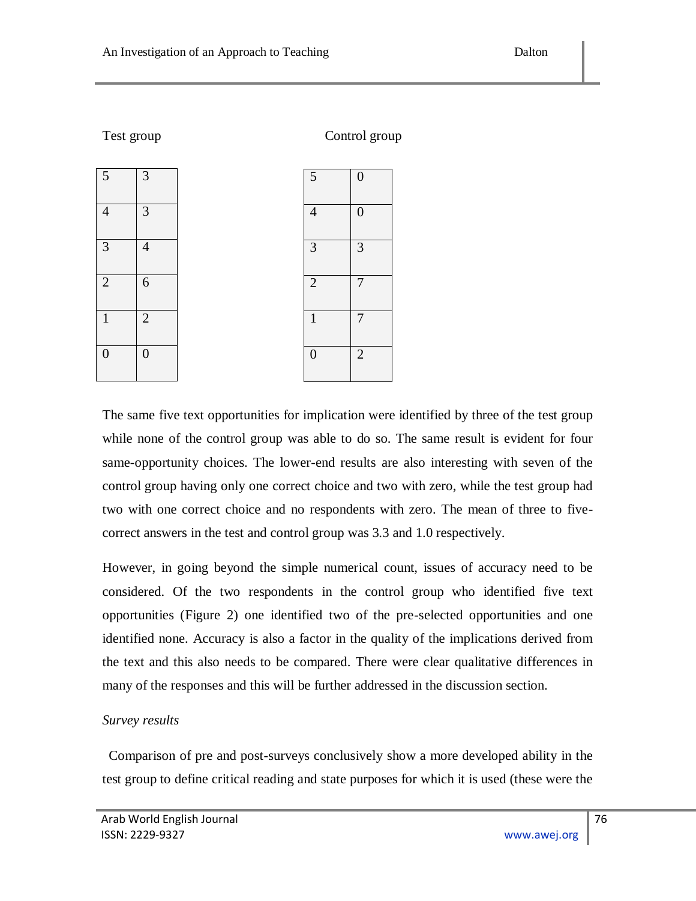| Test group     |                | Control group  |                |  |
|----------------|----------------|----------------|----------------|--|
| $\overline{5}$ | 3              | 5              | 0              |  |
| $\overline{4}$ | 3              | $\overline{4}$ | 0              |  |
| 3              | $\overline{4}$ | 3              | 3              |  |
| $\overline{2}$ | 6              | $\overline{2}$ | 7              |  |
| 1              | $\overline{2}$ | 1              | 7              |  |
| 0              | $\overline{0}$ | $\overline{0}$ | $\overline{2}$ |  |

The same five text opportunities for implication were identified by three of the test group while none of the control group was able to do so. The same result is evident for four same-opportunity choices. The lower-end results are also interesting with seven of the control group having only one correct choice and two with zero, while the test group had two with one correct choice and no respondents with zero. The mean of three to fivecorrect answers in the test and control group was 3.3 and 1.0 respectively.

However, in going beyond the simple numerical count, issues of accuracy need to be considered. Of the two respondents in the control group who identified five text opportunities (Figure 2) one identified two of the pre-selected opportunities and one identified none. Accuracy is also a factor in the quality of the implications derived from the text and this also needs to be compared. There were clear qualitative differences in many of the responses and this will be further addressed in the discussion section.

## *Survey results*

 Comparison of pre and post-surveys conclusively show a more developed ability in the test group to define critical reading and state purposes for which it is used (these were the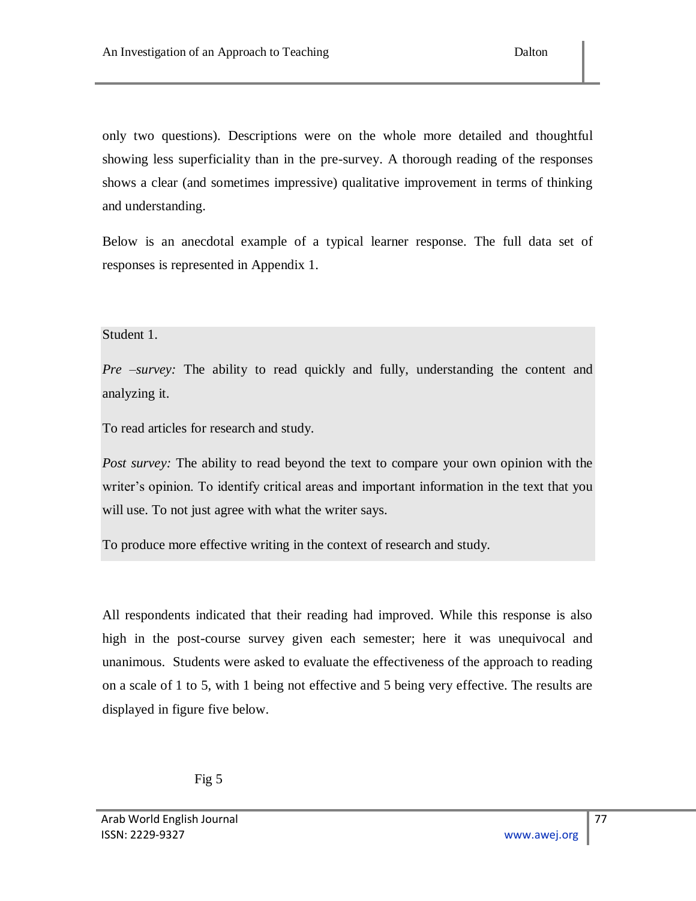only two questions). Descriptions were on the whole more detailed and thoughtful showing less superficiality than in the pre-survey. A thorough reading of the responses shows a clear (and sometimes impressive) qualitative improvement in terms of thinking and understanding.

Below is an anecdotal example of a typical learner response. The full data set of responses is represented in Appendix 1.

## Student 1.

*Pre –survey:* The ability to read quickly and fully, understanding the content and analyzing it.

To read articles for research and study.

*Post survey:* The ability to read beyond the text to compare your own opinion with the writer's opinion. To identify critical areas and important information in the text that you will use. To not just agree with what the writer says.

To produce more effective writing in the context of research and study.

All respondents indicated that their reading had improved. While this response is also high in the post-course survey given each semester; here it was unequivocal and unanimous. Students were asked to evaluate the effectiveness of the approach to reading on a scale of 1 to 5, with 1 being not effective and 5 being very effective. The results are displayed in figure five below.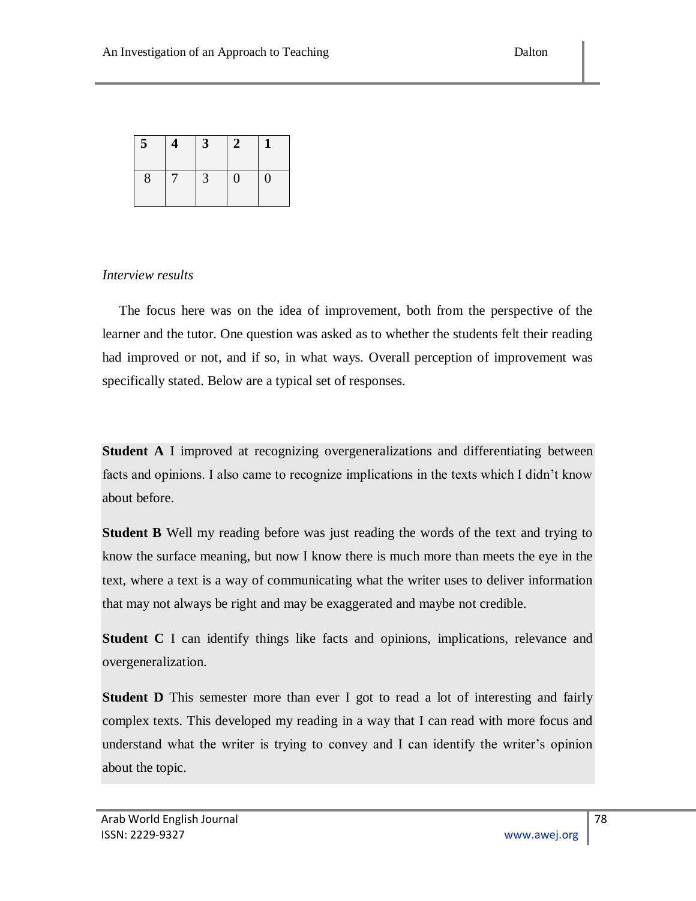| $\overline{5}$ | $3^{\circ}$ | $\bf{z}$       |              |
|----------------|-------------|----------------|--------------|
| 8              | 3           | $\overline{0}$ | $\mathbf{0}$ |

## *Interview results*

 The focus here was on the idea of improvement, both from the perspective of the learner and the tutor. One question was asked as to whether the students felt their reading had improved or not, and if so, in what ways. Overall perception of improvement was specifically stated. Below are a typical set of responses.

**Student A** I improved at recognizing overgeneralizations and differentiating between facts and opinions. I also came to recognize implications in the texts which I didn"t know about before.

**Student B** Well my reading before was just reading the words of the text and trying to know the surface meaning, but now I know there is much more than meets the eye in the text, where a text is a way of communicating what the writer uses to deliver information that may not always be right and may be exaggerated and maybe not credible.

**Student C** I can identify things like facts and opinions, implications, relevance and overgeneralization.

**Student D** This semester more than ever I got to read a lot of interesting and fairly complex texts. This developed my reading in a way that I can read with more focus and understand what the writer is trying to convey and I can identify the writer's opinion about the topic.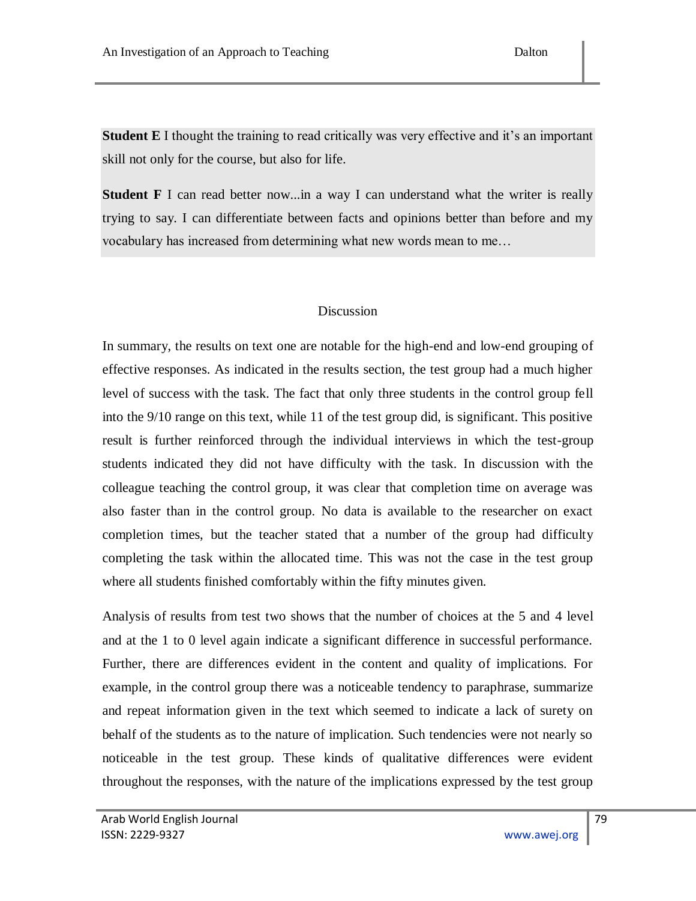**Student E** I thought the training to read critically was very effective and it's an important skill not only for the course, but also for life.

**Student F** I can read better now...in a way I can understand what the writer is really trying to say. I can differentiate between facts and opinions better than before and my vocabulary has increased from determining what new words mean to me…

## Discussion

In summary, the results on text one are notable for the high-end and low-end grouping of effective responses. As indicated in the results section, the test group had a much higher level of success with the task. The fact that only three students in the control group fell into the 9/10 range on this text, while 11 of the test group did, is significant. This positive result is further reinforced through the individual interviews in which the test-group students indicated they did not have difficulty with the task. In discussion with the colleague teaching the control group, it was clear that completion time on average was also faster than in the control group. No data is available to the researcher on exact completion times, but the teacher stated that a number of the group had difficulty completing the task within the allocated time. This was not the case in the test group where all students finished comfortably within the fifty minutes given.

Analysis of results from test two shows that the number of choices at the 5 and 4 level and at the 1 to 0 level again indicate a significant difference in successful performance. Further, there are differences evident in the content and quality of implications. For example, in the control group there was a noticeable tendency to paraphrase, summarize and repeat information given in the text which seemed to indicate a lack of surety on behalf of the students as to the nature of implication. Such tendencies were not nearly so noticeable in the test group. These kinds of qualitative differences were evident throughout the responses, with the nature of the implications expressed by the test group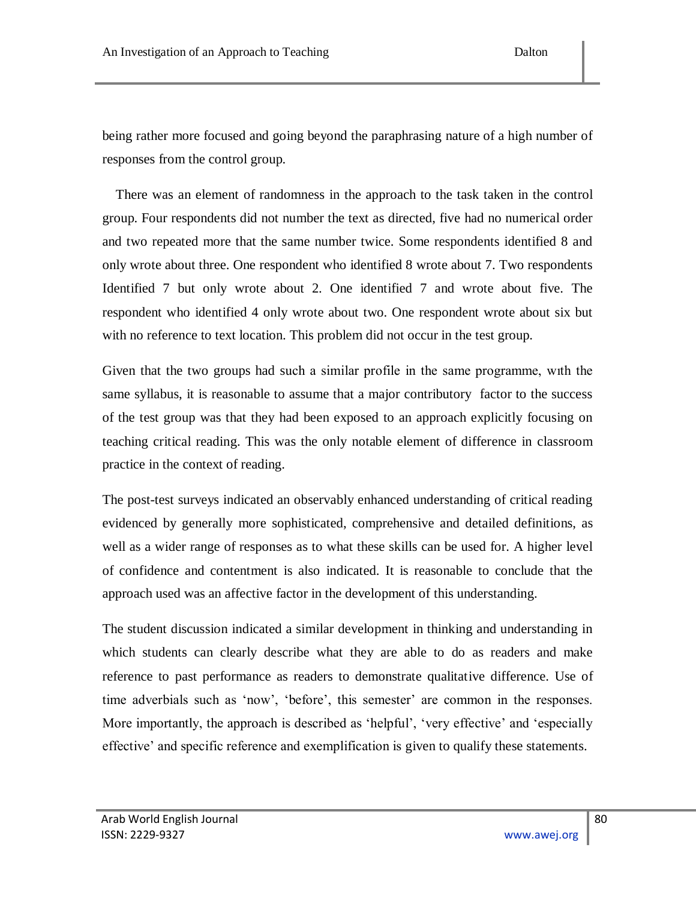being rather more focused and going beyond the paraphrasing nature of a high number of responses from the control group.

 There was an element of randomness in the approach to the task taken in the control group. Four respondents did not number the text as directed, five had no numerical order and two repeated more that the same number twice. Some respondents identified 8 and only wrote about three. One respondent who identified 8 wrote about 7. Two respondents Identified 7 but only wrote about 2. One identified 7 and wrote about five. The respondent who identified 4 only wrote about two. One respondent wrote about six but with no reference to text location. This problem did not occur in the test group.

Given that the two groups had such a similar profile in the same programme, wıth the same syllabus, it is reasonable to assume that a major contributory factor to the success of the test group was that they had been exposed to an approach explicitly focusing on teaching critical reading. This was the only notable element of difference in classroom practice in the context of reading.

The post-test surveys indicated an observably enhanced understanding of critical reading evidenced by generally more sophisticated, comprehensive and detailed definitions, as well as a wider range of responses as to what these skills can be used for. A higher level of confidence and contentment is also indicated. It is reasonable to conclude that the approach used was an affective factor in the development of this understanding.

The student discussion indicated a similar development in thinking and understanding in which students can clearly describe what they are able to do as readers and make reference to past performance as readers to demonstrate qualitative difference. Use of time adverbials such as 'now', 'before', this semester' are common in the responses. More importantly, the approach is described as 'helpful', 'very effective' and 'especially effective' and specific reference and exemplification is given to qualify these statements.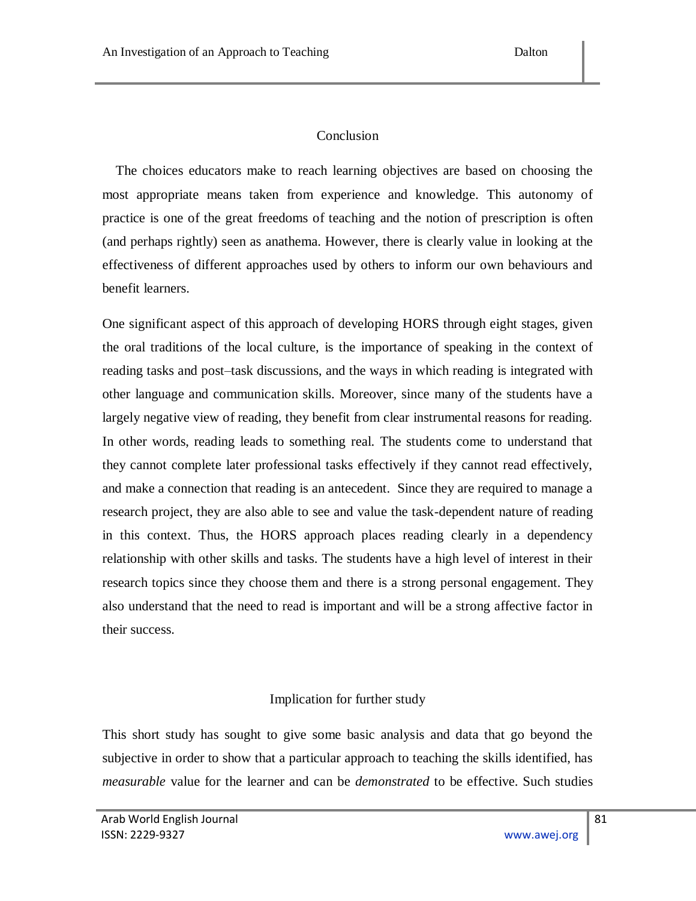## Conclusion

 The choices educators make to reach learning objectives are based on choosing the most appropriate means taken from experience and knowledge. This autonomy of practice is one of the great freedoms of teaching and the notion of prescription is often (and perhaps rightly) seen as anathema. However, there is clearly value in looking at the effectiveness of different approaches used by others to inform our own behaviours and benefit learners.

One significant aspect of this approach of developing HORS through eight stages, given the oral traditions of the local culture, is the importance of speaking in the context of reading tasks and post–task discussions, and the ways in which reading is integrated with other language and communication skills. Moreover, since many of the students have a largely negative view of reading, they benefit from clear instrumental reasons for reading. In other words, reading leads to something real. The students come to understand that they cannot complete later professional tasks effectively if they cannot read effectively, and make a connection that reading is an antecedent. Since they are required to manage a research project, they are also able to see and value the task-dependent nature of reading in this context. Thus, the HORS approach places reading clearly in a dependency relationship with other skills and tasks. The students have a high level of interest in their research topics since they choose them and there is a strong personal engagement. They also understand that the need to read is important and will be a strong affective factor in their success.

## Implication for further study

This short study has sought to give some basic analysis and data that go beyond the subjective in order to show that a particular approach to teaching the skills identified, has *measurable* value for the learner and can be *demonstrated* to be effective. Such studies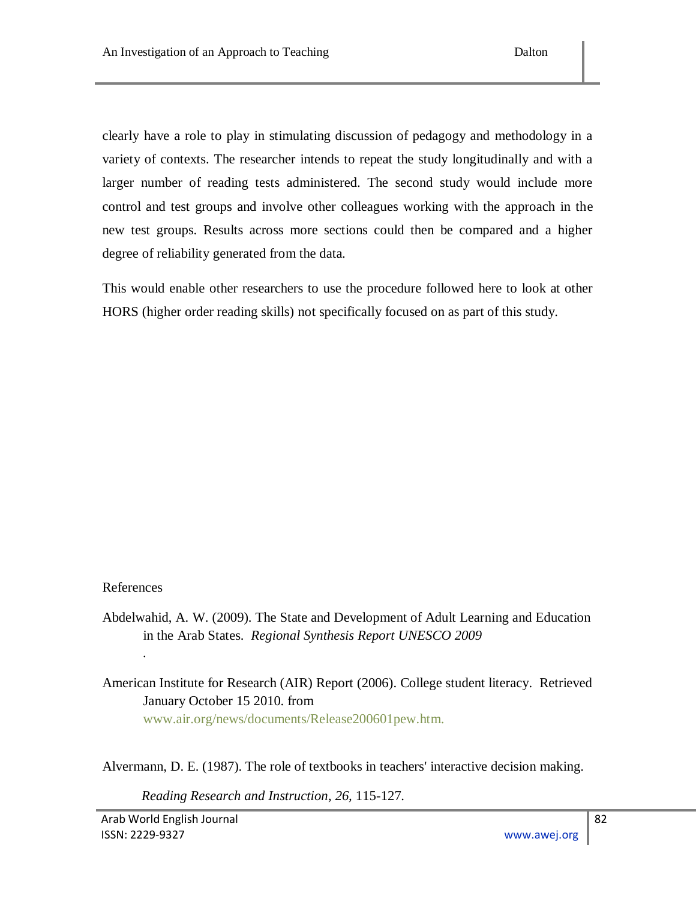clearly have a role to play in stimulating discussion of pedagogy and methodology in a variety of contexts. The researcher intends to repeat the study longitudinally and with a larger number of reading tests administered. The second study would include more control and test groups and involve other colleagues working with the approach in the new test groups. Results across more sections could then be compared and a higher degree of reliability generated from the data.

This would enable other researchers to use the procedure followed here to look at other HORS (higher order reading skills) not specifically focused on as part of this study.

## References

*.*

- Abdelwahid, A. W. (2009). The State and Development of Adult Learning and Education in the Arab States. *Regional Synthesis Report UNESCO 2009*
- American Institute for Research (AIR) Report (2006). College student literacy. Retrieved January October 15 2010. from www.air.org/news/documents/Release200601pew.htm.

Alvermann, D. E. (1987). The role of textbooks in teachers' interactive decision making.

*Reading Research and Instruction*, *26,* 115-127.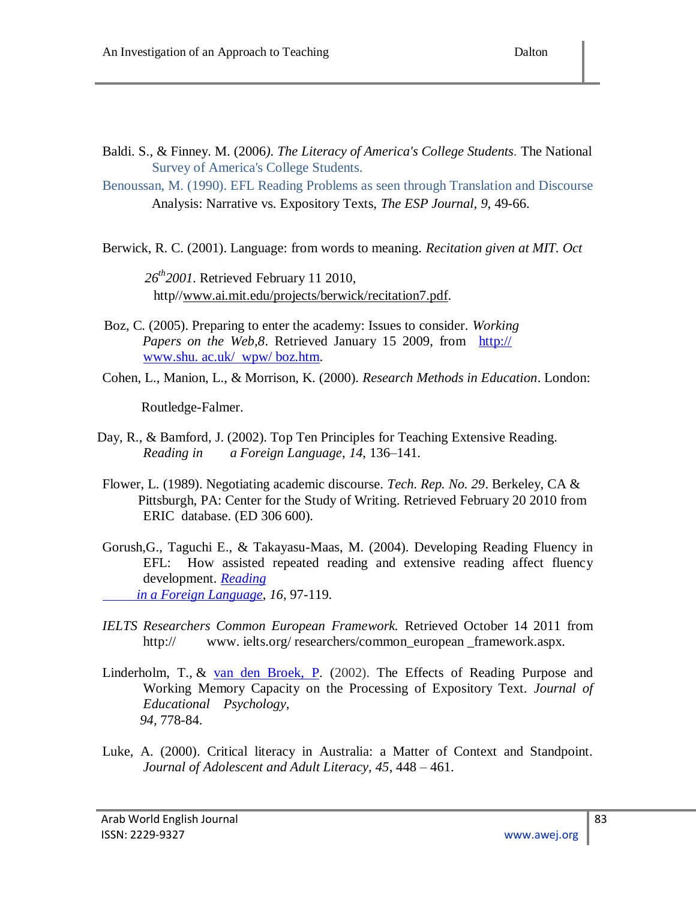- Baldi. S., & Finney. M. (2006*). The Literacy of America's College Students.* The National Survey of America's College Students.
- Benoussan, M. (1990). EFL Reading Problems as seen through Translation and Discourse Analysis: Narrative vs. Expository Texts, *The ESP Journal, 9*, 49-66.

Berwick, R. C. (2001). Language: from words to meaning. *Recitation given at MIT. Oct* 

 *26th2001*. Retrieved February 11 2010, http/[/www.ai.mit.edu/projects/berwick/recitation7.pdf.](http://www.ai.mit.edu/projects/berwick/recitation7.pdf)

- Boz, C. (2005). Preparing to enter the academy: Issues to consider. *Working Papers on the Web,8*. Retrieved January 15 2009, from http:// www.shu. ac.uk/ wpw/ boz.htm.
- Cohen, L., Manion, L., & Morrison, K. (2000). *Research Methods in Education*. London:

Routledge-Falmer.

- Day, R., & Bamford, J. (2002). Top Ten Principles for Teaching Extensive Reading. *Reading in a Foreign Language*, *14*, 136–141.
- Flower, L. (1989). Negotiating academic discourse. *Tech. Rep. No. 29*. Berkeley, CA & Pittsburgh, PA: Center for the Study of Writing. Retrieved February 20 2010 from ERIC database. (ED 306 600).
- Gorush,G., Taguchi E., & Takayasu-Maas, M. (2004). Developing Reading Fluency in EFL: How assisted repeated reading and extensive reading affect fluency development. *[Reading](http://nflrc.hawaii.edu/rfl/)   [in a Foreign Language](http://nflrc.hawaii.edu/rfl/)*, *16,* 97-119.
- *IELTS Researchers Common European Framework.* Retrieved October 14 2011 from http:// www. ielts.org/ researchers/common\_european \_framework.aspx.
- Linderholm, T.,  $\&$  [van den Broek, P.](http://eric.ed.gov/ERICWebPortal/Home.portal;jsessionid=JnRGGYgnvX2ZTrnvRWj25dG7QLvxYj9JyqywJvMd14v1QqvHVZzf!-383582632?_nfpb=true&_pageLabel=ERICSearchResult&_urlType=action&newSearch=true&ERICExtSearch_SearchType_0=au&ERICExtSearch_SearchValue_0=%22van+den+Broek+Paul%22) (2002). The Effects of Reading Purpose and Working Memory Capacity on the Processing of Expository Text. *Journal of Educational Psychology, 94,* 778-84.
- Luke, A. (2000). Critical literacy in Australia: a Matter of Context and Standpoint. *Journal of Adolescent and Adult Literacy, 45*, 448 – 461.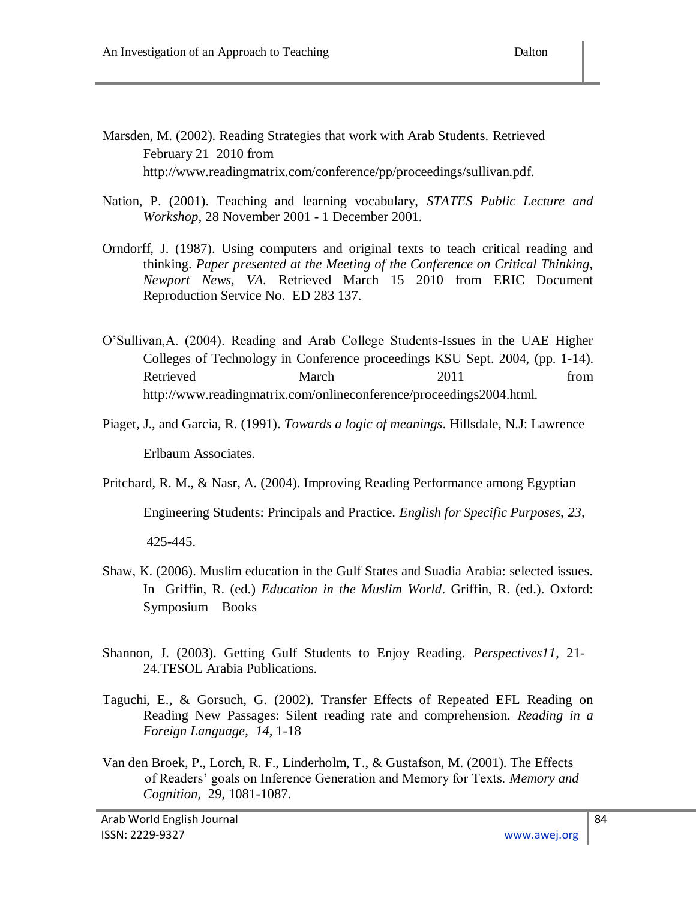- Marsden, M. (2002). Reading Strategies that work with Arab Students. Retrieved February 21 2010 from http://www.readingmatrix.com/conference/pp/proceedings/sullivan.pdf.
- Nation, P. (2001). Teaching and learning vocabulary, *STATES Public Lecture and Workshop,* 28 November 2001 - 1 December 2001*.*
- Orndorff, J. (1987). Using computers and original texts to teach critical reading and thinking. *Paper presented at the Meeting of the Conference on Critical Thinking, Newport News, VA.* Retrieved March 15 2010 from ERIC Document Reproduction Service No. ED 283 137.
- O"Sullivan,A. (2004). Reading and Arab College Students-Issues in the UAE Higher Colleges of Technology in Conference proceedings KSU Sept. 2004, (pp. 1-14). Retrieved March 2011 from http://www.readingmatrix.com/onlineconference/proceedings2004.html.
- Piaget, J., and Garcia, R. (1991). *Towards a logic of meanings*. Hillsdale, N.J: Lawrence Erlbaum Associates.
- Pritchard, R. M., & Nasr, A. (2004). Improving Reading Performance among Egyptian

Engineering Students: Principals and Practice. *English for Specific Purposes, 23,* 

425-445.

- Shaw, K. (2006). Muslim education in the Gulf States and Suadia Arabia: selected issues. In Griffin, R. (ed.) *Education in the Muslim World*. Griffin, R. (ed.). Oxford: Symposium Books
- Shannon, J. (2003). Getting Gulf Students to Enjoy Reading. *Perspectives11*, 21- 24.TESOL Arabia Publications.
- Taguchi, E., & Gorsuch, G. (2002). Transfer Effects of Repeated EFL Reading on Reading New Passages: Silent reading rate and comprehension. *Reading in a Foreign Language*, *14,* 1-18
- Van den Broek, P., Lorch, R. F., Linderholm, T., & Gustafson, M. (2001). The Effects of Readers" goals on Inference Generation and Memory for Texts. *Memory and Cognition,* 29, 1081-1087.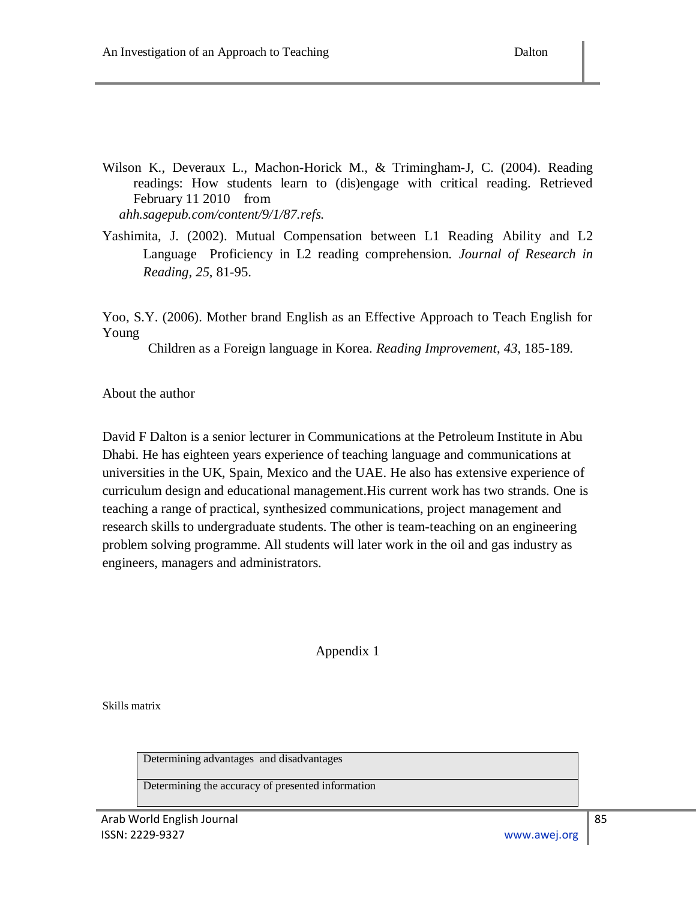- Wilson K., Deveraux L., Machon-Horick M., & Trimingham-J, C. (2004). Reading readings: How students learn to (dis)engage with critical reading. Retrieved February 11 2010 from *ahh.sagepub.com/content/9/1/87.refs.*
- Yashimita, J. (2002). Mutual Compensation between L1 Reading Ability and L2 Language Proficiency in L2 reading comprehension. *Journal of Research in Reading, 25*, 81-95.

Yoo, S.Y. (2006). Mother brand English as an Effective Approach to Teach English for Young

Children as a Foreign language in Korea. *Reading Improvement*, *43,* 185-189.

About the author

David F Dalton is a senior lecturer in Communications at the Petroleum Institute in Abu Dhabi. He has eighteen years experience of teaching language and communications at universities in the UK, Spain, Mexico and the UAE. He also has extensive experience of curriculum design and educational management.His current work has two strands. One is teaching a range of practical, synthesized communications, project management and research skills to undergraduate students. The other is team-teaching on an engineering problem solving programme. All students will later work in the oil and gas industry as engineers, managers and administrators.

## Appendix 1

Skills matrix

Determining advantages and disadvantages

Determining the accuracy of presented information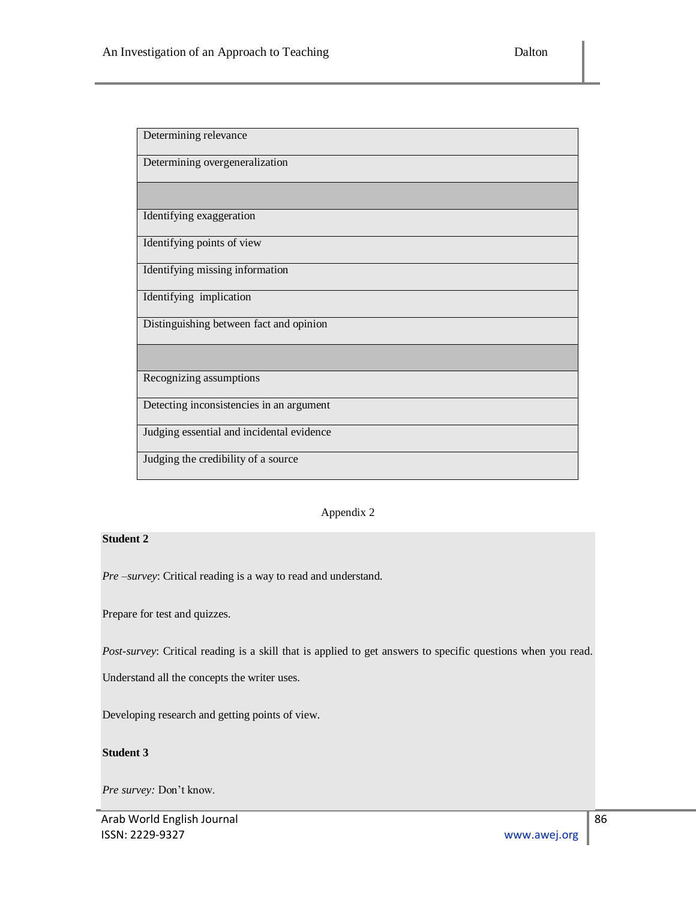| Determining relevance                     |
|-------------------------------------------|
| Determining overgeneralization            |
|                                           |
| Identifying exaggeration                  |
| Identifying points of view                |
| Identifying missing information           |
| Identifying implication                   |
| Distinguishing between fact and opinion   |
|                                           |
| Recognizing assumptions                   |
| Detecting inconsistencies in an argument  |
| Judging essential and incidental evidence |
| Judging the credibility of a source       |

#### Appendix 2

#### **Student 2**

*Pre –survey*: Critical reading is a way to read and understand.

Prepare for test and quizzes.

*Post-survey*: Critical reading is a skill that is applied to get answers to specific questions when you read.

Understand all the concepts the writer uses.

Developing research and getting points of view.

#### **Student 3**

*Pre survey:* Don"t know.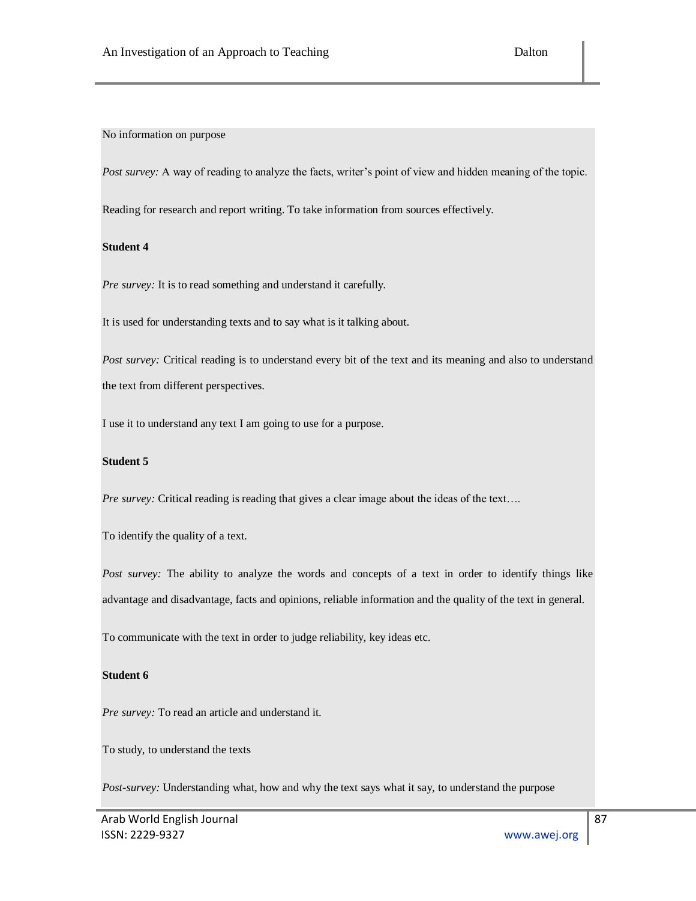No information on purpose

*Post survey:* A way of reading to analyze the facts, writer's point of view and hidden meaning of the topic.

Reading for research and report writing. To take information from sources effectively.

#### **Student 4**

*Pre survey:* It is to read something and understand it carefully.

It is used for understanding texts and to say what is it talking about.

*Post survey:* Critical reading is to understand every bit of the text and its meaning and also to understand the text from different perspectives.

I use it to understand any text I am going to use for a purpose.

#### **Student 5**

*Pre survey:* Critical reading is reading that gives a clear image about the ideas of the text....

To identify the quality of a text.

*Post survey:* The ability to analyze the words and concepts of a text in order to identify things like advantage and disadvantage, facts and opinions, reliable information and the quality of the text in general.

To communicate with the text in order to judge reliability, key ideas etc.

#### **Student 6**

*Pre survey:* To read an article and understand it.

To study, to understand the texts

*Post-survey:* Understanding what, how and why the text says what it say, to understand the purpose